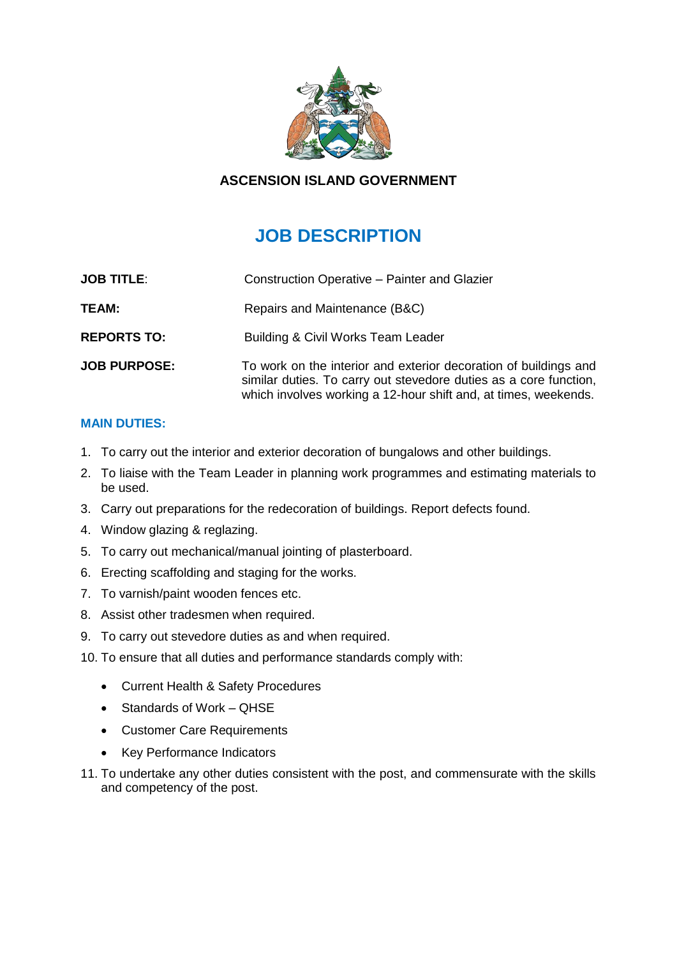

# **ASCENSION ISLAND GOVERNMENT**

# **JOB DESCRIPTION**

| <b>JOB TITLE:</b>   | Construction Operative - Painter and Glazier                                                                                                                                                             |
|---------------------|----------------------------------------------------------------------------------------------------------------------------------------------------------------------------------------------------------|
| TEAM:               | Repairs and Maintenance (B&C)                                                                                                                                                                            |
| <b>REPORTS TO:</b>  | Building & Civil Works Team Leader                                                                                                                                                                       |
| <b>JOB PURPOSE:</b> | To work on the interior and exterior decoration of buildings and<br>similar duties. To carry out stevedore duties as a core function,<br>which involves working a 12-hour shift and, at times, weekends. |

### **MAIN DUTIES:**

- 1. To carry out the interior and exterior decoration of bungalows and other buildings.
- 2. To liaise with the Team Leader in planning work programmes and estimating materials to be used.
- 3. Carry out preparations for the redecoration of buildings. Report defects found.
- 4. Window glazing & reglazing.
- 5. To carry out mechanical/manual jointing of plasterboard.
- 6. Erecting scaffolding and staging for the works.
- 7. To varnish/paint wooden fences etc.
- 8. Assist other tradesmen when required.
- 9. To carry out stevedore duties as and when required.
- 10. To ensure that all duties and performance standards comply with:
	- Current Health & Safety Procedures
	- Standards of Work QHSE
	- Customer Care Requirements
	- Key Performance Indicators
- 11. To undertake any other duties consistent with the post, and commensurate with the skills and competency of the post.